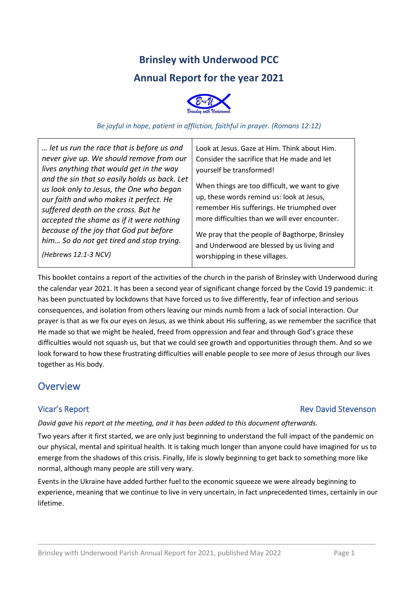# **Brinsley with Underwood PCC Annual Report for the year 2021**



#### *Be joyful in hope, patient in affliction, faithful in prayer. (Romans 12:12)*

*… let us run the race that is before us and never give up. We should remove from our lives anything that would get in the way and the sin that so easily holds us back. Let us look only to Jesus, the One who began our faith and who makes it perfect. He suffered death on the cross. But he accepted the shame as if it were nothing because of the joy that God put before him… So do not get tired and stop trying.*

Look at Jesus. Gaze at Him. Think about Him. Consider the sacrifice that He made and let yourself be transformed!

When things are too difficult, we want to give up, these words remind us: look at Jesus, remember His sufferings. He triumphed over more difficulties than we will ever encounter.

We pray that the people of Bagthorpe, Brinsley and Underwood are blessed by us living and worshipping in these villages.

This booklet contains a report of the activities of the church in the parish of Brinsley with Underwood during the calendar year 2021. It has been a second year of significant change forced by the Covid 19 pandemic: it has been punctuated by lockdowns that have forced us to live differently, fear of infection and serious consequences, and isolation from others leaving our minds numb from a lack of social interaction. Our prayer is that as we fix our eyes on Jesus, as we think about His suffering, as we remember the sacrifice that He made so that we might be healed, freed from oppression and fear and through God's grace these difficulties would not squash us, but that we could see growth and opportunities through them. And so we look forward to how these frustrating difficulties will enable people to see more of Jesus through our lives together as His body.

## **Overview**

*(Hebrews 12:1-3 NCV)*

## Vicar's Report **National Stevenson** Rev David Stevenson

### *David gave his report at the meeting, and it has been added to this document afterwards.*

Two years after it first started, we are only just beginning to understand the full impact of the pandemic on our physical, mental and spiritual health. It is taking much longer than anyone could have imagined for us to emerge from the shadows of this crisis. Finally, life is slowly beginning to get back to something more like normal, although many people are still very wary.

Events in the Ukraine have added further fuel to the economic squeeze we were already beginning to experience, meaning that we continue to live in very uncertain, in fact unprecedented times, certainly in our lifetime.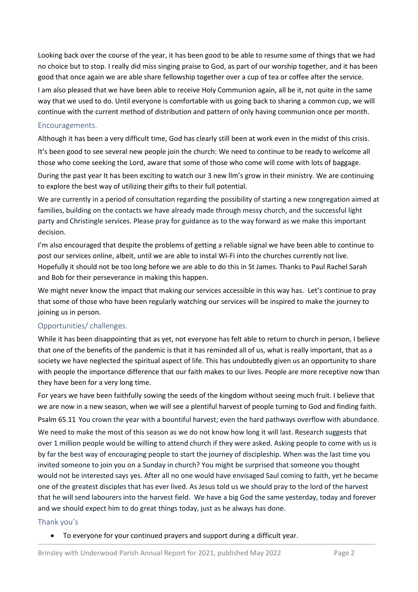Looking back over the course of the year, it has been good to be able to resume some of things that we had no choice but to stop. I really did miss singing praise to God, as part of our worship together, and it has been good that once again we are able share fellowship together over a cup of tea or coffee after the service.

I am also pleased that we have been able to receive Holy Communion again, all be it, not quite in the same way that we used to do. Until everyone is comfortable with us going back to sharing a common cup, we will continue with the current method of distribution and pattern of only having communion once per month.

#### Encouragements.

Although it has been a very difficult time, God has clearly still been at work even in the midst of this crisis.

It's been good to see several new people join the church: We need to continue to be ready to welcome all those who come seeking the Lord, aware that some of those who come will come with lots of baggage.

During the past year It has been exciting to watch our 3 new llm's grow in their ministry. We are continuing to explore the best way of utilizing their gifts to their full potential.

We are currently in a period of consultation regarding the possibility of starting a new congregation aimed at families, building on the contacts we have already made through messy church, and the successful light party and Christingle services. Please pray for guidance as to the way forward as we make this important decision.

I'm also encouraged that despite the problems of getting a reliable signal we have been able to continue to post our services online, albeit, until we are able to instal Wi-Fi into the churches currently not live. Hopefully it should not be too long before we are able to do this in St James. Thanks to Paul Rachel Sarah and Bob for their perseverance in making this happen.

We might never know the impact that making our services accessible in this way has. Let's continue to pray that some of those who have been regularly watching our services will be inspired to make the journey to joining us in person.

### Opportunities/ challenges.

While it has been disappointing that as yet, not everyone has felt able to return to church in person, I believe that one of the benefits of the pandemic is that it has reminded all of us, what is really important, that as a society we have neglected the spiritual aspect of life. This has undoubtedly given us an opportunity to share with people the importance difference that our faith makes to our lives. People are more receptive now than they have been for a very long time.

For years we have been faithfully sowing the seeds of the kingdom without seeing much fruit. I believe that we are now in a new season, when we will see a plentiful harvest of people turning to God and finding faith. Psalm 65.11 You crown the year with a bountiful harvest; even the hard pathways overflow with abundance. We need to make the most of this season as we do not know how long it will last. Research suggests that over 1 million people would be willing to attend church if they were asked. Asking people to come with us is by far the best way of encouraging people to start the journey of discipleship. When was the last time you invited someone to join you on a Sunday in church? You might be surprised that someone you thought would not be interested says yes. After all no one would have envisaged Saul coming to faith, yet he became one of the greatest disciples that has ever lived. As Jesus told us we should pray to the lord of the harvest that he will send labourers into the harvest field. We have a big God the same yesterday, today and forever and we should expect him to do great things today, just as he always has done.

#### Thank you's

• To everyone for your continued prayers and support during a difficult year.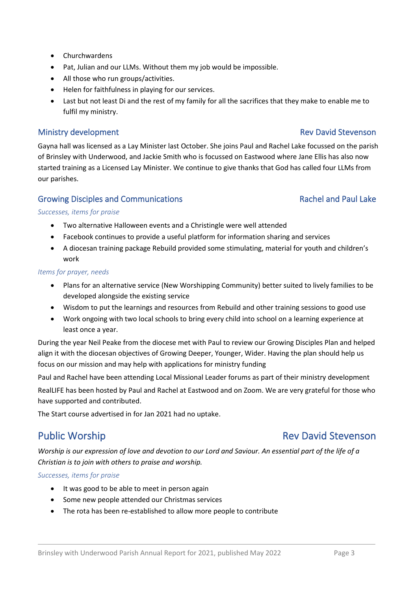- Churchwardens
- Pat, Julian and our LLMs. Without them my job would be impossible.
- All those who run groups/activities.
- Helen for faithfulness in playing for our services.
- Last but not least Di and the rest of my family for all the sacrifices that they make to enable me to fulfil my ministry.

### Ministry development and a state of the control of the Rev David Stevenson

Gayna hall was licensed as a Lay Minister last October. She joins Paul and Rachel Lake focussed on the parish of Brinsley with Underwood, and Jackie Smith who is focussed on Eastwood where Jane Ellis has also now started training as a Licensed Lay Minister. We continue to give thanks that God has called four LLMs from our parishes.

### Growing Disciples and Communications **Rachel and Paul Lake**

### *Successes, items for praise*

- Two alternative Halloween events and a Christingle were well attended
- Facebook continues to provide a useful platform for information sharing and services
- A diocesan training package Rebuild provided some stimulating, material for youth and children's work

#### *Items for prayer, needs*

- Plans for an alternative service (New Worshipping Community) better suited to lively families to be developed alongside the existing service
- Wisdom to put the learnings and resources from Rebuild and other training sessions to good use
- Work ongoing with two local schools to bring every child into school on a learning experience at least once a year.

During the year Neil Peake from the diocese met with Paul to review our Growing Disciples Plan and helped align it with the diocesan objectives of Growing Deeper, Younger, Wider. Having the plan should help us focus on our mission and may help with applications for ministry funding

Paul and Rachel have been attending Local Missional Leader forums as part of their ministry development

RealLIFE has been hosted by Paul and Rachel at Eastwood and on Zoom. We are very grateful for those who have supported and contributed.

The Start course advertised in for Jan 2021 had no uptake.

*Worship is our expression of love and devotion to our Lord and Saviour. An essential part of the life of a Christian is to join with others to praise and worship.*

*Successes, items for praise*

- It was good to be able to meet in person again
- Some new people attended our Christmas services
- The rota has been re-established to allow more people to contribute

# Public Worship **Rev David Stevenson**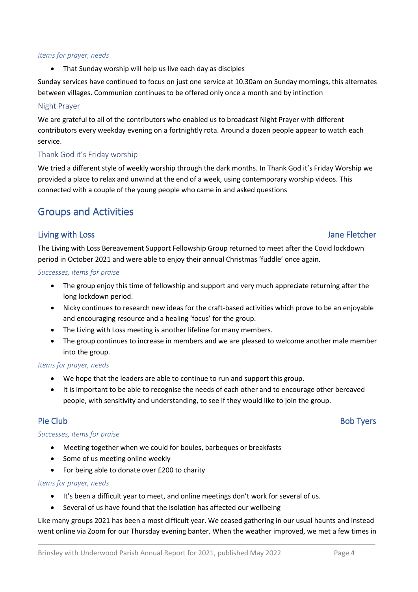#### *Items for prayer, needs*

• That Sunday worship will help us live each day as disciples

Sunday services have continued to focus on just one service at 10.30am on Sunday mornings, this alternates between villages. Communion continues to be offered only once a month and by intinction

#### Night Prayer

We are grateful to all of the contributors who enabled us to broadcast Night Prayer with different contributors every weekday evening on a fortnightly rota. Around a dozen people appear to watch each service.

### Thank God it's Friday worship

We tried a different style of weekly worship through the dark months. In Thank God it's Friday Worship we provided a place to relax and unwind at the end of a week, using contemporary worship videos. This connected with a couple of the young people who came in and asked questions

# Groups and Activities

### Living with Loss **Internal Contract Contract Contract Contract Contract Contract Contract Contract Contract Contract Contract Contract Contract Contract Contract Contract Contract Contract Contract Contract Contract Contra**

The Living with Loss Bereavement Support Fellowship Group returned to meet after the Covid lockdown period in October 2021 and were able to enjoy their annual Christmas 'fuddle' once again.

#### *Successes, items for praise*

- The group enjoy this time of fellowship and support and very much appreciate returning after the long lockdown period.
- Nicky continues to research new ideas for the craft-based activities which prove to be an enjoyable and encouraging resource and a healing 'focus' for the group.
- The Living with Loss meeting is another lifeline for many members.
- The group continues to increase in members and we are pleased to welcome another male member into the group.

### *Items for prayer, needs*

- We hope that the leaders are able to continue to run and support this group.
- It is important to be able to recognise the needs of each other and to encourage other bereaved people, with sensitivity and understanding, to see if they would like to join the group.

### Pie Club Bob Tyers and the Club Bob Tyers and the Club Bob Tyers and the Bob Tyers and the Bob Tyers

### *Successes, items for praise*

- Meeting together when we could for boules, barbeques or breakfasts
- Some of us meeting online weekly
- For being able to donate over £200 to charity

#### *Items for prayer, needs*

- It's been a difficult year to meet, and online meetings don't work for several of us.
- Several of us have found that the isolation has affected our wellbeing

Like many groups 2021 has been a most difficult year. We ceased gathering in our usual haunts and instead went online via Zoom for our Thursday evening banter. When the weather improved, we met a few times in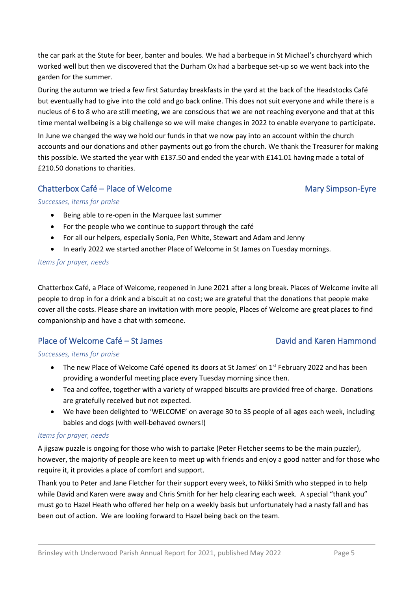the car park at the Stute for beer, banter and boules. We had a barbeque in St Michael's churchyard which worked well but then we discovered that the Durham Ox had a barbeque set-up so we went back into the garden for the summer.

During the autumn we tried a few first Saturday breakfasts in the yard at the back of the Headstocks Café but eventually had to give into the cold and go back online. This does not suit everyone and while there is a nucleus of 6 to 8 who are still meeting, we are conscious that we are not reaching everyone and that at this time mental wellbeing is a big challenge so we will make changes in 2022 to enable everyone to participate. In June we changed the way we hold our funds in that we now pay into an account within the church accounts and our donations and other payments out go from the church. We thank the Treasurer for making this possible. We started the year with £137.50 and ended the year with £141.01 having made a total of £210.50 donations to charities.

### Chatterbox Café – Place of Welcome Mary Simpson-Eyre

### *Successes, items for praise*

- Being able to re-open in the Marquee last summer
- For the people who we continue to support through the café
- For all our helpers, especially Sonia, Pen White, Stewart and Adam and Jenny
- In early 2022 we started another Place of Welcome in St James on Tuesday mornings.

#### *Items for prayer, needs*

Chatterbox Café, a Place of Welcome, reopened in June 2021 after a long break. Places of Welcome invite all people to drop in for a drink and a biscuit at no cost; we are grateful that the donations that people make cover all the costs. Please share an invitation with more people, Places of Welcome are great places to find companionship and have a chat with someone.

### Place of Welcome Café – St James David and Karen Hammond

#### *Successes, items for praise*

- The new Place of Welcome Café opened its doors at St James' on  $1^{st}$  February 2022 and has been providing a wonderful meeting place every Tuesday morning since then.
- Tea and coffee, together with a variety of wrapped biscuits are provided free of charge. Donations are gratefully received but not expected.
- We have been delighted to 'WELCOME' on average 30 to 35 people of all ages each week, including babies and dogs (with well-behaved owners!)

#### *Items for prayer, needs*

A jigsaw puzzle is ongoing for those who wish to partake (Peter Fletcher seems to be the main puzzler), however, the majority of people are keen to meet up with friends and enjoy a good natter and for those who require it, it provides a place of comfort and support.

Thank you to Peter and Jane Fletcher for their support every week, to Nikki Smith who stepped in to help while David and Karen were away and Chris Smith for her help clearing each week. A special "thank you" must go to Hazel Heath who offered her help on a weekly basis but unfortunately had a nasty fall and has been out of action. We are looking forward to Hazel being back on the team.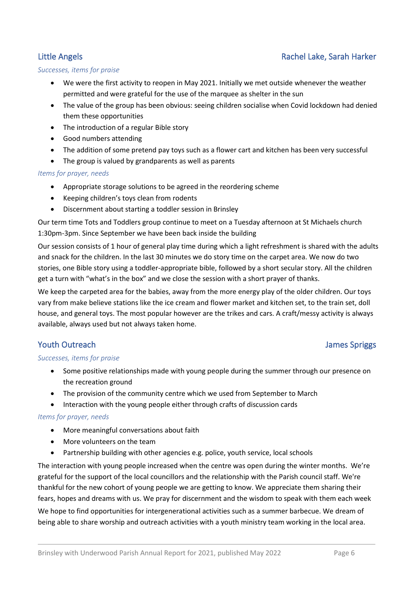## Little Angels **Rachel Lake, Sarah Harker**

#### *Successes, items for praise*

- We were the first activity to reopen in May 2021. Initially we met outside whenever the weather permitted and were grateful for the use of the marquee as shelter in the sun
- The value of the group has been obvious: seeing children socialise when Covid lockdown had denied them these opportunities
- The introduction of a regular Bible story
- Good numbers attending
- The addition of some pretend pay toys such as a flower cart and kitchen has been very successful
- The group is valued by grandparents as well as parents

### *Items for prayer, needs*

- Appropriate storage solutions to be agreed in the reordering scheme
- Keeping children's toys clean from rodents
- Discernment about starting a toddler session in Brinsley

Our term time Tots and Toddlers group continue to meet on a Tuesday afternoon at St Michaels church 1:30pm-3pm. Since September we have been back inside the building

Our session consists of 1 hour of general play time during which a light refreshment is shared with the adults and snack for the children. In the last 30 minutes we do story time on the carpet area. We now do two stories, one Bible story using a toddler-appropriate bible, followed by a short secular story. All the children get a turn with "what's in the box" and we close the session with a short prayer of thanks.

We keep the carpeted area for the babies, away from the more energy play of the older children. Our toys vary from make believe stations like the ice cream and flower market and kitchen set, to the train set, doll house, and general toys. The most popular however are the trikes and cars. A craft/messy activity is always available, always used but not always taken home.

### **Youth Outreach International Control Control Control Control Control Control Control Control Control Control Control Control Control Control Control Control Control Control Control Control Control Control Control Control**

### *Successes, items for praise*

- Some positive relationships made with young people during the summer through our presence on the recreation ground
- The provision of the community centre which we used from September to March
- Interaction with the young people either through crafts of discussion cards

#### *Items for prayer, needs*

- More meaningful conversations about faith
- More volunteers on the team
- Partnership building with other agencies e.g. police, youth service, local schools

The interaction with young people increased when the centre was open during the winter months. We're grateful for the support of the local councillors and the relationship with the Parish council staff. We're thankful for the new cohort of young people we are getting to know. We appreciate them sharing their fears, hopes and dreams with us. We pray for discernment and the wisdom to speak with them each week

We hope to find opportunities for intergenerational activities such as a summer barbecue. We dream of being able to share worship and outreach activities with a youth ministry team working in the local area.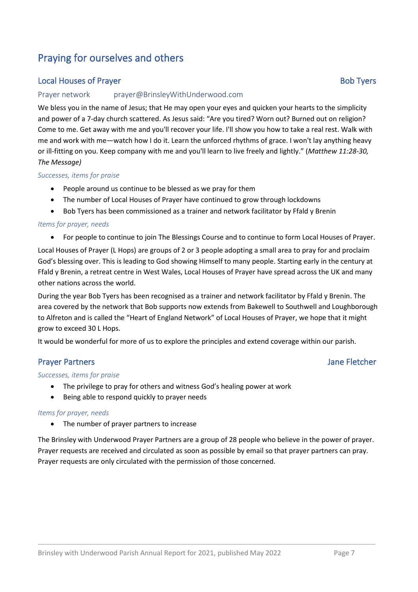# Praying for ourselves and others

## **Local Houses of Prayer Bob Tyers** Bob Tyers

#### Prayer network prayer@BrinsleyWithUnderwood.com

We bless you in the name of Jesus; that He may open your eyes and quicken your hearts to the simplicity and power of a 7-day church scattered. As Jesus said: "Are you tired? Worn out? Burned out on religion? Come to me. Get away with me and you'll recover your life. I'll show you how to take a real rest. Walk with me and work with me—watch how I do it. Learn the unforced rhythms of grace. I won't lay anything heavy or ill-fitting on you. Keep company with me and you'll learn to live freely and lightly." (*Matthew 11:28-30, The Message)*

#### *Successes, items for praise*

- People around us continue to be blessed as we pray for them
- The number of Local Houses of Prayer have continued to grow through lockdowns
- Bob Tyers has been commissioned as a trainer and network facilitator by Ffald y Brenin

#### *Items for prayer, needs*

• For people to continue to join The Blessings Course and to continue to form Local Houses of Prayer.

Local Houses of Prayer (L Hops) are groups of 2 or 3 people adopting a small area to pray for and proclaim God's blessing over. This is leading to God showing Himself to many people. Starting early in the century at Ffald y Brenin, a retreat centre in West Wales, Local Houses of Prayer have spread across the UK and many other nations across the world.

During the year Bob Tyers has been recognised as a trainer and network facilitator by Ffald y Brenin. The area covered by the network that Bob supports now extends from Bakewell to Southwell and Loughborough to Alfreton and is called the "Heart of England Network" of Local Houses of Prayer, we hope that it might grow to exceed 30 L Hops.

It would be wonderful for more of us to explore the principles and extend coverage within our parish.

### Prayer Partners **Internal Community** Prayer Partners and the United States of the United States of the United States of the United States of the United States of the United States of the United States of the United States

#### *Successes, items for praise*

- The privilege to pray for others and witness God's healing power at work
- Being able to respond quickly to prayer needs

#### *Items for prayer, needs*

• The number of prayer partners to increase

The Brinsley with Underwood Prayer Partners are a group of 28 people who believe in the power of prayer. Prayer requests are received and circulated as soon as possible by email so that prayer partners can pray. Prayer requests are only circulated with the permission of those concerned.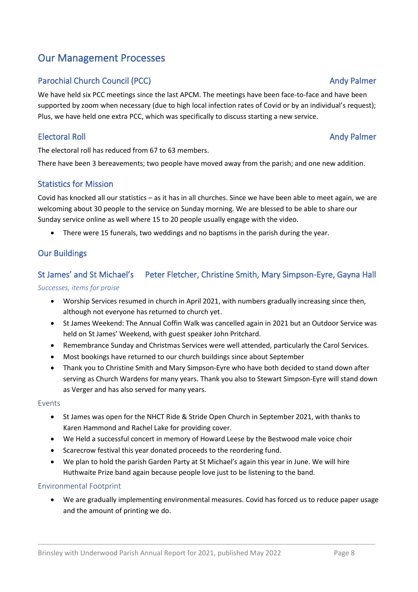# Our Management Processes

## Parochial Church Council (PCC) and the state of the state of the state of the state of the Andy Palmer

We have held six PCC meetings since the last APCM. The meetings have been face-to-face and have been supported by zoom when necessary (due to high local infection rates of Covid or by an individual's request); Plus, we have held one extra PCC, which was specifically to discuss starting a new service.

## Electoral Roll **Andy Palmer**

The electoral roll has reduced from 67 to 63 members.

There have been 3 bereavements; two people have moved away from the parish; and one new addition.

### Statistics for Mission

Covid has knocked all our statistics – as it has in all churches. Since we have been able to meet again, we are welcoming about 30 people to the service on Sunday morning. We are blessed to be able to share our Sunday service online as well where 15 to 20 people usually engage with the video.

• There were 15 funerals, two weddings and no baptisms in the parish during the year.

## Our Buildings

# St James' and St Michael's Peter Fletcher, Christine Smith, Mary Simpson-Eyre, Gayna Hall

### *Successes, items for praise*

- Worship Services resumed in church in April 2021, with numbers gradually increasing since then, although not everyone has returned to church yet.
- St James Weekend: The Annual Coffin Walk was cancelled again in 2021 but an Outdoor Service was held on St James' Weekend, with guest speaker John Pritchard.
- Remembrance Sunday and Christmas Services were well attended, particularly the Carol Services.
- Most bookings have returned to our church buildings since about September
- Thank you to Christine Smith and Mary Simpson-Eyre who have both decided to stand down after serving as Church Wardens for many years. Thank you also to Stewart Simpson-Eyre will stand down as Verger and has also served for many years.

### Events

- St James was open for the NHCT Ride & Stride Open Church in September 2021, with thanks to Karen Hammond and Rachel Lake for providing cover.
- We Held a successful concert in memory of Howard Leese by the Bestwood male voice choir
- Scarecrow festival this year donated proceeds to the reordering fund.
- We plan to hold the parish Garden Party at St Michael's again this year in June. We will hire Huthwaite Prize band again because people love just to be listening to the band.

### Environmental Footprint

• We are gradually implementing environmental measures. Covid has forced us to reduce paper usage and the amount of printing we do.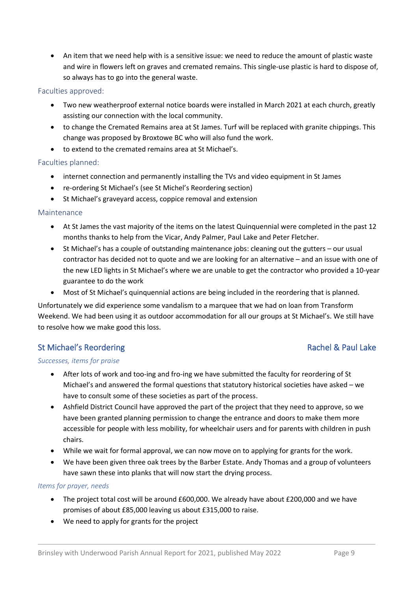• An item that we need help with is a sensitive issue: we need to reduce the amount of plastic waste and wire in flowers left on graves and cremated remains. This single-use plastic is hard to dispose of, so always has to go into the general waste.

### Faculties approved:

- Two new weatherproof external notice boards were installed in March 2021 at each church, greatly assisting our connection with the local community.
- to change the Cremated Remains area at St James. Turf will be replaced with granite chippings. This change was proposed by Broxtowe BC who will also fund the work.
- to extend to the cremated remains area at St Michael's.

### Faculties planned:

- internet connection and permanently installing the TVs and video equipment in St James
- re-ordering St Michael's (see St Michel's Reordering section)
- St Michael's graveyard access, coppice removal and extension

### Maintenance

- At St James the vast majority of the items on the latest Quinquennial were completed in the past 12 months thanks to help from the Vicar, Andy Palmer, Paul Lake and Peter Fletcher.
- St Michael's has a couple of outstanding maintenance jobs: cleaning out the gutters our usual contractor has decided not to quote and we are looking for an alternative – and an issue with one of the new LED lights in St Michael's where we are unable to get the contractor who provided a 10-year guarantee to do the work
- Most of St Michael's quinquennial actions are being included in the reordering that is planned.

Unfortunately we did experience some vandalism to a marquee that we had on loan from Transform Weekend. We had been using it as outdoor accommodation for all our groups at St Michael's. We still have to resolve how we make good this loss.

### St Michael's Reordering **Rachel & Paul Lake**

### *Successes, items for praise*

- After lots of work and too-ing and fro-ing we have submitted the faculty for reordering of St Michael's and answered the formal questions that statutory historical societies have asked – we have to consult some of these societies as part of the process.
- Ashfield District Council have approved the part of the project that they need to approve, so we have been granted planning permission to change the entrance and doors to make them more accessible for people with less mobility, for wheelchair users and for parents with children in push chairs.
- While we wait for formal approval, we can now move on to applying for grants for the work.
- We have been given three oak trees by the Barber Estate. Andy Thomas and a group of volunteers have sawn these into planks that will now start the drying process.

### *Items for prayer, needs*

- The project total cost will be around £600,000. We already have about £200,000 and we have promises of about £85,000 leaving us about £315,000 to raise.
- We need to apply for grants for the project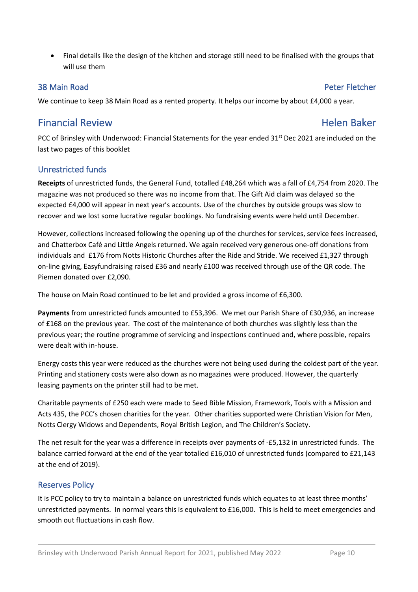• Final details like the design of the kitchen and storage still need to be finalised with the groups that will use them

### 38 Main Road Peter Fletcher

We continue to keep 38 Main Road as a rented property. It helps our income by about £4,000 a year.

# Financial Review **Helen Baker**

PCC of Brinsley with Underwood: Financial Statements for the year ended 31<sup>st</sup> Dec 2021 are included on the last two pages of this booklet

## Unrestricted funds

**Receipts** of unrestricted funds, the General Fund, totalled £48,264 which was a fall of £4,754 from 2020. The magazine was not produced so there was no income from that. The Gift Aid claim was delayed so the expected £4,000 will appear in next year's accounts. Use of the churches by outside groups was slow to recover and we lost some lucrative regular bookings. No fundraising events were held until December.

However, collections increased following the opening up of the churches for services, service fees increased, and Chatterbox Café and Little Angels returned. We again received very generous one-off donations from individuals and £176 from Notts Historic Churches after the Ride and Stride. We received £1,327 through on-line giving, Easyfundraising raised £36 and nearly £100 was received through use of the QR code. The Piemen donated over £2,090.

The house on Main Road continued to be let and provided a gross income of £6,300.

**Payments** from unrestricted funds amounted to £53,396. We met our Parish Share of £30,936, an increase of £168 on the previous year. The cost of the maintenance of both churches was slightly less than the previous year; the routine programme of servicing and inspections continued and, where possible, repairs were dealt with in-house.

Energy costs this year were reduced as the churches were not being used during the coldest part of the year. Printing and stationery costs were also down as no magazines were produced. However, the quarterly leasing payments on the printer still had to be met.

Charitable payments of £250 each were made to Seed Bible Mission, Framework, Tools with a Mission and Acts 435, the PCC's chosen charities for the year. Other charities supported were Christian Vision for Men, Notts Clergy Widows and Dependents, Royal British Legion, and The Children's Society.

The net result for the year was a difference in receipts over payments of -£5,132 in unrestricted funds. The balance carried forward at the end of the year totalled £16,010 of unrestricted funds (compared to £21,143 at the end of 2019).

## Reserves Policy

It is PCC policy to try to maintain a balance on unrestricted funds which equates to at least three months' unrestricted payments. In normal years this is equivalent to £16,000. This is held to meet emergencies and smooth out fluctuations in cash flow.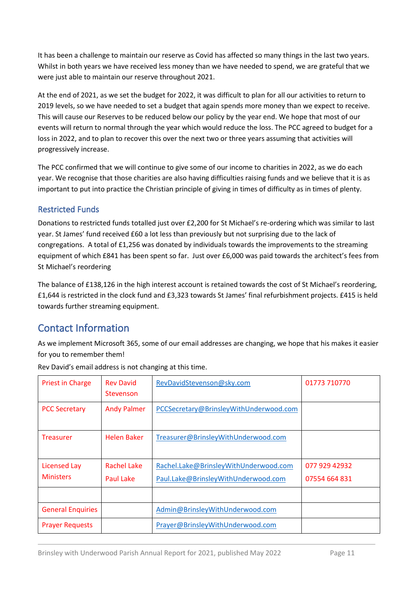It has been a challenge to maintain our reserve as Covid has affected so many things in the last two years. Whilst in both years we have received less money than we have needed to spend, we are grateful that we were just able to maintain our reserve throughout 2021.

At the end of 2021, as we set the budget for 2022, it was difficult to plan for all our activities to return to 2019 levels, so we have needed to set a budget that again spends more money than we expect to receive. This will cause our Reserves to be reduced below our policy by the year end. We hope that most of our events will return to normal through the year which would reduce the loss. The PCC agreed to budget for a loss in 2022, and to plan to recover this over the next two or three years assuming that activities will progressively increase.

The PCC confirmed that we will continue to give some of our income to charities in 2022, as we do each year. We recognise that those charities are also having difficulties raising funds and we believe that it is as important to put into practice the Christian principle of giving in times of difficulty as in times of plenty.

## Restricted Funds

Donations to restricted funds totalled just over £2,200 for St Michael's re-ordering which was similar to last year. St James' fund received £60 a lot less than previously but not surprising due to the lack of congregations. A total of £1,256 was donated by individuals towards the improvements to the streaming equipment of which £841 has been spent so far. Just over £6,000 was paid towards the architect's fees from St Michael's reordering

The balance of £138,126 in the high interest account is retained towards the cost of St Michael's reordering, £1,644 is restricted in the clock fund and £3,323 towards St James' final refurbishment projects. £415 is held towards further streaming equipment.

# Contact Information

As we implement Microsoft 365, some of our email addresses are changing, we hope that his makes it easier for you to remember them!

| <b>Priest in Charge</b>  | <b>Rev David</b><br>Stevenson | RevDavidStevenson@sky.com              | 01773 710770  |
|--------------------------|-------------------------------|----------------------------------------|---------------|
| <b>PCC Secretary</b>     | <b>Andy Palmer</b>            | PCCSecretary@BrinsleyWithUnderwood.com |               |
| <b>Treasurer</b>         | Helen Baker                   | Treasurer@BrinsleyWithUnderwood.com    |               |
| <b>Licensed Lay</b>      | <b>Rachel Lake</b>            | Rachel.Lake@BrinsleyWithUnderwood.com  | 077 929 42932 |
| <b>Ministers</b>         | Paul Lake                     | Paul.Lake@BrinsleyWithUnderwood.com    | 07554 664 831 |
|                          |                               |                                        |               |
| <b>General Enquiries</b> |                               | Admin@BrinsleyWithUnderwood.com        |               |
| <b>Prayer Requests</b>   |                               | Prayer@BrinsleyWithUnderwood.com       |               |

Rev David's email address is not changing at this time.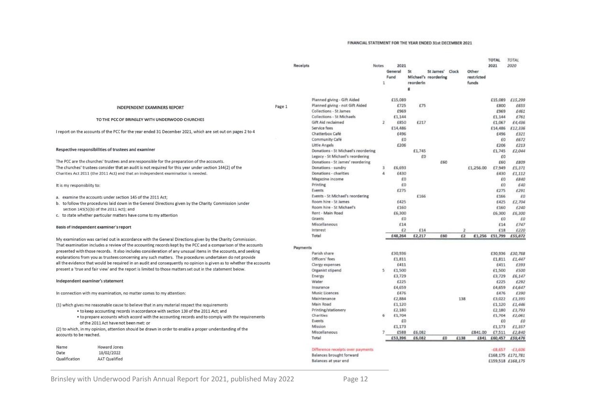#### FINANCIAL STATEMENT FOR THE YEAR ENDED 31st DECEMBER 2021

|                                                                                                                     |        | Receipts |                                     | <b>Notes</b><br>1 | 2021<br>General<br>Fund | <b>St</b><br>reorderin | St James' Clock<br>Michael's reordering |                         | Other<br>restricted<br>funds | <b>TOTAL</b><br>2021   | TOTAL<br>2020 |
|---------------------------------------------------------------------------------------------------------------------|--------|----------|-------------------------------------|-------------------|-------------------------|------------------------|-----------------------------------------|-------------------------|------------------------------|------------------------|---------------|
|                                                                                                                     |        |          |                                     |                   |                         |                        |                                         |                         |                              |                        |               |
|                                                                                                                     |        |          | Planned giving - Gift Aided         |                   | £15,089                 |                        |                                         |                         |                              | £15,089                | £15,299       |
| <b>INDEPENDENT EXAMINERS REPORT</b>                                                                                 | Page 1 |          | Planned giving - not Gift Aided     |                   | £725                    | £75                    |                                         |                         |                              | £800                   | £653          |
|                                                                                                                     |        |          | Collections - St James              |                   | £969                    |                        |                                         |                         |                              | £969                   | £461          |
|                                                                                                                     |        |          | Collections - St Michaels           |                   | £1,144                  |                        |                                         |                         |                              | £1,144                 | £761          |
| TO THE PCC OF BRINSLEY WITH UNDERWOOD CHURCHES                                                                      |        |          | <b>Gift Aid reclaimed</b>           | $\overline{2}$    | £850                    | £217                   |                                         |                         |                              | £1,067                 | £4,436        |
|                                                                                                                     |        |          | Service fees                        |                   | £14,486                 |                        |                                         |                         |                              | £14,486                | £12,336       |
| I report on the accounts of the PCC for the year ended 31 December 2021, which are set out on pages 2 to 4          |        |          | Chatterbox Café                     |                   | £496                    |                        |                                         |                         |                              | £496                   | £321          |
|                                                                                                                     |        |          | Community Café                      |                   | £O                      |                        |                                         |                         |                              | £0                     | £67.          |
|                                                                                                                     |        |          | Little Angels                       |                   | £206                    |                        |                                         |                         |                              | £206                   | £213          |
| Respective responsibilities of trustees and examiner                                                                |        |          | Donations - St Michael's reordering |                   |                         | £1,745                 |                                         |                         |                              | £1,745                 | £2,044        |
|                                                                                                                     |        |          | Legacy - St Michael's reordering    |                   |                         | £0                     |                                         |                         |                              | £0                     |               |
| The PCC are the churches' trustees and are responsible for the preparation of the accounts.                         |        |          | Donations - St James' reordering    |                   |                         |                        | £60                                     |                         |                              | £60                    | £809          |
| The churches' trustees consider that an audit is not required for this year under section 144(2) of the             |        |          | Donations - sundry                  | з                 | £6,693                  |                        |                                         |                         | £1,256.00                    | £7,949                 | £5,371        |
| Charities Act 2011 (the 2011 Act) and that an independent examination is needed.                                    |        |          | Donations - charities               | 4                 | £430                    |                        |                                         |                         |                              | £430                   | £1,112        |
|                                                                                                                     |        |          | Magazine income                     |                   | £0                      |                        |                                         |                         |                              | £0                     | £840          |
| It is my responsiblity to:                                                                                          |        |          | Printing                            |                   | £0                      |                        |                                         |                         |                              | £0                     | £40           |
|                                                                                                                     |        |          | Events                              |                   | £275                    |                        |                                         |                         |                              | £275                   | £291          |
| a. examine the accounts under section 145 of the 2011 Act;                                                          |        |          | Events - St Michael's reordering    |                   |                         | £166                   |                                         |                         |                              | £166                   | E0            |
| b. to follow the procedures laid down in the General Directions given by the Charity Commission (under              |        |          | Room hire - St James                |                   | £425                    |                        |                                         |                         |                              | £425                   | £2,704        |
| section 145(5)(b) of the 2011 Act); and                                                                             |        |          | Room hire - St Michael's            |                   | £160                    |                        |                                         |                         |                              | £160                   | £240          |
| c. to state whether particular matters have come to my attention                                                    |        |          | Rent - Main Road<br>Grants          |                   | £6,300                  |                        |                                         |                         |                              | £6,300                 | £6,300        |
|                                                                                                                     |        |          | Miscellaneous                       |                   | £O<br>£14               |                        |                                         |                         |                              | £Ū<br>£14              | £<br>£74)     |
| Basis of independent examiner's report                                                                              |        |          | Interest                            |                   | £2                      | £14                    |                                         | $\overline{\mathbf{z}}$ |                              | £18                    | £220          |
|                                                                                                                     |        |          | Total                               |                   | £48,264                 | £2,217                 | £60                                     | £2                      |                              | £1,256 £51,799 £55,872 |               |
| My examination was carried out in accordance with the General Directions given by the Charity Commission.           |        |          |                                     |                   |                         |                        |                                         |                         |                              |                        |               |
| That examination includes a review of the accounting records kept by the PCC and a comparison of the accounts       |        |          |                                     |                   |                         |                        |                                         |                         |                              |                        |               |
| presented with those records. It also includes consideration of any unusual items in the accounts, and seeking      |        | Payments | Parish share                        |                   | £30,936                 |                        |                                         |                         |                              | £30,936                | £30.768       |
| explanations from you as trustees concerning any such matters. The procedures undertaken do not provide             |        |          | Officers' fees                      |                   | £1,811                  |                        |                                         |                         |                              | £1,811                 | £.44          |
| all the evidence that would be required in an audit and consequently no opinion is given as to whether the accounts |        |          | Clergy expenses                     |                   | E411                    |                        |                                         |                         |                              | £411                   | £393          |
| present a 'true and fair view' and the report is limited to those matters set out in the statement below.           |        |          | Organist stipend                    | 5                 | £1,500                  |                        |                                         |                         |                              | £1,500                 | £500          |
|                                                                                                                     |        |          | Energy                              |                   | £3,729                  |                        |                                         |                         |                              | £3,729                 | £6,147        |
| Independent examiner's statement                                                                                    |        |          | Water                               |                   | £225                    |                        |                                         |                         |                              | £225                   | £292          |
|                                                                                                                     |        |          | Insurance                           |                   | £4,659                  |                        |                                         |                         |                              | £4,659                 | £4,647        |
| In connection with my examination, no matter comes to my attention:                                                 |        |          | Music Licences                      |                   | £476                    |                        |                                         |                         |                              | £476                   | £390          |
|                                                                                                                     |        |          | Maintenance                         |                   | £2,884                  |                        |                                         | 138                     |                              | £3,022                 | £3,399        |
| (1) which gives me reasonable cause to believe that in any material respect the requirements                        |        |          | Main Road                           |                   | £1,120                  |                        |                                         |                         |                              | £1,120                 | £1,446        |
| . to keep accounting records in accordance with section 130 of the 2011 Act; and                                    |        |          | Printing/stationery                 |                   | £2,180                  |                        |                                         |                         |                              | £2,180                 | £3,793        |
| • to prepare accounts which accord with the accounting records and to comply with the requirements                  |        |          | <b>Charities</b>                    |                   | £1,704                  |                        |                                         |                         |                              | £1,704                 | £2,061        |
| of the 2011 Act have not been met: or                                                                               |        |          | Events                              |                   | £0                      |                        |                                         |                         |                              | £0                     | £             |
| (2) to which, in my opinion, attention should be drawn in order to enable a proper understanding of the             |        |          | Mission                             |                   | £1,173                  |                        |                                         |                         |                              | £1,173                 | £1,357        |
| accounts to be reached.                                                                                             |        |          | Miscellaneous                       |                   | £588                    | £6,082                 |                                         |                         | £841.00                      | £7,511                 | £2,840        |
|                                                                                                                     |        |          | Total                               |                   | £53,396                 | £6,082                 | £O                                      | £138                    | £841                         | £60,457                | £59,476       |
| Howard Jones<br>Name                                                                                                |        |          | Difference receipts over payments   |                   |                         |                        |                                         |                         |                              | $-68,657$              | $-63,600$     |
| 18/02/2022<br>Date                                                                                                  |        |          | Balances brought forward            |                   |                         |                        |                                         |                         |                              | £168,175 £171,781      |               |
| Qualification<br><b>AAT Qualified</b>                                                                               |        |          | Balances at year end                |                   |                         |                        |                                         |                         |                              | £159,518 £168,175      |               |
|                                                                                                                     |        |          |                                     |                   |                         |                        |                                         |                         |                              |                        |               |

Brinsley with Underwood Parish Annual Report for 2021, published May 2022 Page 12